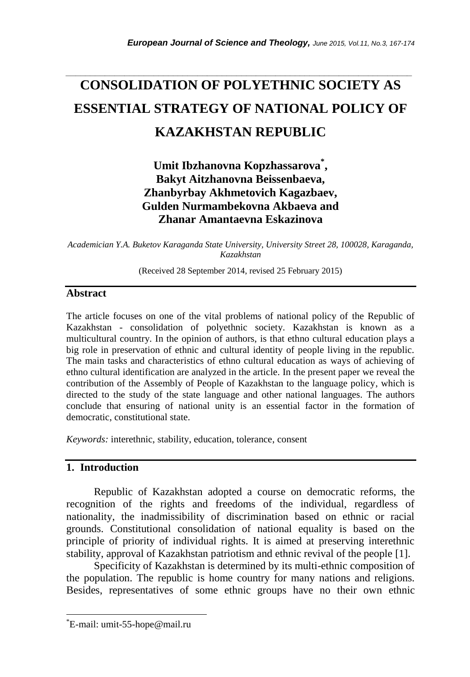# *\_\_\_\_\_\_\_\_\_\_\_\_\_\_\_\_\_\_\_\_\_\_\_\_\_\_\_\_\_\_\_\_\_\_\_\_\_\_\_\_\_\_\_\_\_\_\_\_\_\_\_\_\_\_\_\_\_\_\_\_\_\_\_\_\_\_\_\_\_\_\_* **CONSOLIDATION OF POLYETHNIC SOCIETY AS ESSENTIAL STRATEGY OF NATIONAL POLICY OF KAZAKHSTAN REPUBLIC**

## **Umit Ibzhanovna Kopzhassarova\* , Bakyt Aitzhanovna Beissenbaeva, Zhanbyrbay Akhmetovich Kagazbaev, Gulden Nurmambekovna Akbaeva and Zhanar Amantaevna Eskazinova**

*Academician Y.A. Buketov Karaganda State University, University Street 28, 100028, Karaganda, Kazakhstan* 

(Received 28 September 2014, revised 25 February 2015)

#### **Abstract**

The article focuses on one of the vital problems of national policy of the Republic of Kazakhstan - consolidation of polyethnic society. Kazakhstan is known as a multicultural country. In the opinion of authors, is that ethno cultural education plays a big role in preservation of ethnic and cultural identity of people living in the republic. The main tasks and characteristics of ethno cultural education as ways of achieving of ethno cultural identification are analyzed in the article. In the present paper we reveal the contribution of the Assembly of People of Kazakhstan to the language policy, which is directed to the study of the state language and other national languages. The authors conclude that ensuring of national unity is an essential factor in the formation of democratic, constitutional state.

*Keywords:* interethnic, stability, education, tolerance, consent

#### **1. Introduction**

l

Republic of Kazakhstan adopted a course on democratic reforms, the recognition of the rights and freedoms of the individual, regardless of nationality, the inadmissibility of discrimination based on ethnic or racial grounds. Constitutional consolidation of national equality is based on the principle of priority of individual rights. It is aimed at preserving interethnic stability, approval of Kazakhstan patriotism and ethnic revival of the people [1].

Specificity of Kazakhstan is determined by its multi-ethnic composition of the population. The republic is home country for many nations and religions. Besides, representatives of some ethnic groups have no their own ethnic

<sup>\*</sup>E-mail: umit-55-hope@mail.ru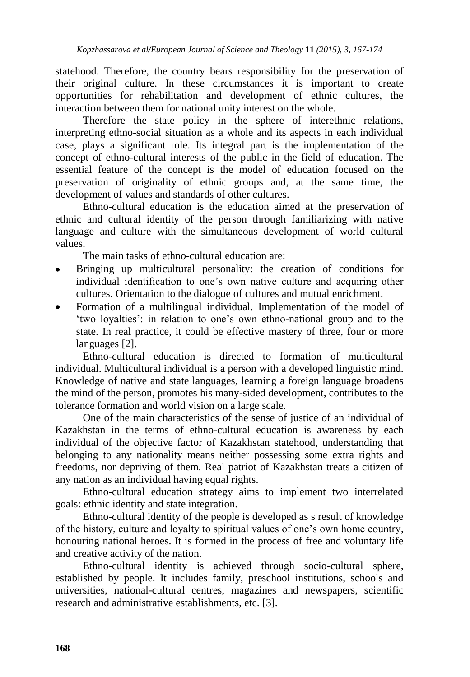statehood. Therefore, the country bears responsibility for the preservation of their original culture. In these circumstances it is important to create opportunities for rehabilitation and development of ethnic cultures, the interaction between them for national unity interest on the whole.

Therefore the state policy in the sphere of interethnic relations, interpreting ethno-social situation as a whole and its aspects in each individual case, plays a significant role. Its integral part is the implementation of the concept of ethno-cultural interests of the public in the field of education. The essential feature of the concept is the model of education focused on the preservation of originality of ethnic groups and, at the same time, the development of values and standards of other cultures.

Ethno-cultural education is the education aimed at the preservation of ethnic and cultural identity of the person through familiarizing with native language and culture with the simultaneous development of world cultural values.

The main tasks of ethno-cultural education are:

- Bringing up multicultural personality: the creation of conditions for individual identification to one"s own native culture and acquiring other cultures. Orientation to the dialogue of cultures and mutual enrichment.
- Formation of a multilingual individual. Implementation of the model of "two loyalties": in relation to one"s own ethno-national group and to the state. In real practice, it could be effective mastery of three, four or more languages [2].

Ethno-cultural education is directed to formation of multicultural individual. Multicultural individual is a person with a developed linguistic mind. Knowledge of native and state languages, learning a foreign language broadens the mind of the person, promotes his many-sided development, contributes to the tolerance formation and world vision on a large scale.

One of the main characteristics of the sense of justice of an individual of Kazakhstan in the terms of ethno-cultural education is awareness by each individual of the objective factor of Kazakhstan statehood, understanding that belonging to any nationality means neither possessing some extra rights and freedoms, nor depriving of them. Real patriot of Kazakhstan treats a citizen of any nation as an individual having equal rights.

Ethno-cultural education strategy aims to implement two interrelated goals: ethnic identity and state integration.

Ethno-cultural identity of the people is developed as s result of knowledge of the history, culture and loyalty to spiritual values of one"s own home country, honouring national heroes. It is formed in the process of free and voluntary life and creative activity of the nation.

Ethno-cultural identity is achieved through socio-cultural sphere, established by people. It includes family, preschool institutions, schools and universities, national-cultural centres, magazines and newspapers, scientific research and administrative establishments, etc. [3].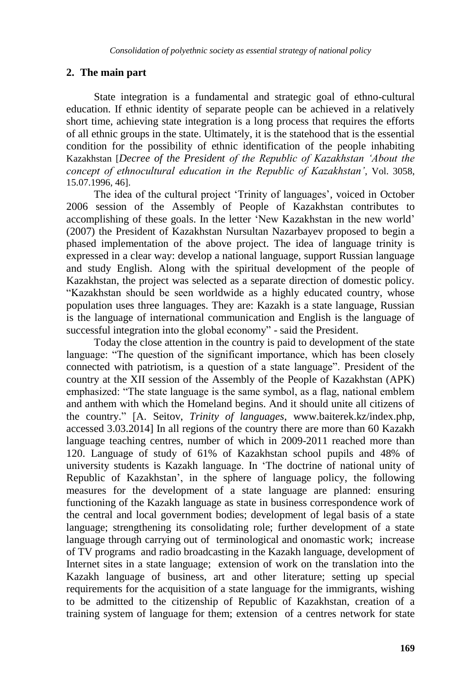#### **2. The main part**

State integration is a fundamental and strategic goal of ethno-cultural education. If ethnic identity of separate people can be achieved in a relatively short time, achieving state integration is a long process that requires the efforts of all ethnic groups in the state. Ultimately, it is the statehood that is the essential condition for the possibility of ethnic identification of the people inhabiting Kazakhstan [*Decree of the President of the Republic of Kazakhstan 'About the concept of ethnocultural education in the Republic of Kazakhstan'*, Vol. 3058, 15.07.1996, 46].

The idea of the cultural project 'Trinity of languages', voiced in October 2006 session of the Assembly of People of Kazakhstan contributes to accomplishing of these goals. In the letter "New Kazakhstan in the new world" (2007) the President of Kazakhstan Nursultan Nazarbayev proposed to begin a phased implementation of the above project. The idea of language trinity is expressed in a clear way: develop a national language, support Russian language and study English. Along with the spiritual development of the people of Kazakhstan, the project was selected as a separate direction of domestic policy. "Kazakhstan should be seen worldwide as a highly educated country, whose population uses three languages. They are: Kazakh is a state language, Russian is the language of international communication and English is the language of successful integration into the global economy" - said the President.

Today the close attention in the country is paid to development of the state language: "The question of the significant importance, which has been closely connected with patriotism, is a question of a state language". President of the country at the XII session of the Assembly of the People of Kazakhstan (APK) emphasized: "The state language is the same symbol, as a flag, national emblem and anthem with which the Homeland begins. And it should unite all citizens of the country." [A. Seitov, *Trinity of languages*, www.baiterek.kz/index.php, accessed 3.03.2014] In all regions of the country there are more than 60 Kazakh language teaching centres, number of which in 2009-2011 reached more than 120. Language of study of 61% of Kazakhstan school pupils and 48% of university students is Kazakh language. In "The doctrine of national unity of Republic of Kazakhstan", in the sphere of language policy, the following measures for the development of a state language are planned: ensuring functioning of the Kazakh language as state in business correspondence work of the central and local government bodies; development of legal basis of a state language; strengthening its consolidating role; further development of a state language through carrying out of terminological and onomastic work; increase of TV programs and radio broadcasting in the Kazakh language, development of Internet sites in a state language; extension of work on the translation into the Kazakh language of business, art and other literature; setting up special requirements for the acquisition of a state language for the immigrants, wishing to be admitted to the citizenship of Republic of Kazakhstan, creation of a training system of language for them; extension of a centres network for state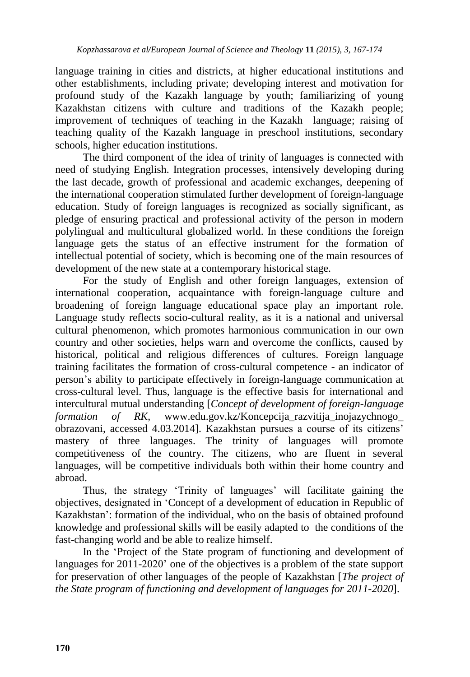language training in cities and districts, at higher educational institutions and other establishments, including private; developing interest and motivation for profound study of the Kazakh language by youth; familiarizing of young Kazakhstan citizens with culture and traditions of the Kazakh people; improvement of techniques of teaching in the Kazakh language; raising of teaching quality of the Kazakh language in preschool institutions, secondary schools, higher education institutions.

The third component of the idea of trinity of languages is connected with need of studying English. Integration processes, intensively developing during the last decade, growth of professional and academic exchanges, deepening of the international cooperation stimulated further development of foreign-language education. Study of foreign languages is recognized as socially significant, as pledge of ensuring practical and professional activity of the person in modern polylingual and multicultural globalized world. In these conditions the foreign language gets the status of an effective instrument for the formation of intellectual potential of society, which is becoming one of the main resources of development of the new state at a contemporary historical stage.

For the study of English and other foreign languages, extension of international cooperation, acquaintance with foreign-language culture and broadening of foreign language educational space play an important role. Language study reflects socio-cultural reality, as it is a national and universal cultural phenomenon, which promotes harmonious communication in our own country and other societies, helps warn and overcome the conflicts, caused by historical, political and religious differences of cultures. Foreign language training facilitates the formation of cross-cultural competence - an indicator of person"s ability to participate effectively in foreign-language communication at cross-cultural level. Thus, language is the effective basis for international and intercultural mutual understanding [*Concept of development of foreign-language formation of RK*, www.edu.gov.kz/Koncepcija\_razvitija\_inojazychnogo\_ obrazovani, accessed 4.03.2014]. Kazakhstan pursues a course of its citizens" mastery of three languages. The trinity of languages will promote competitiveness of the country. The citizens, who are fluent in several languages, will be competitive individuals both within their home country and abroad.

Thus, the strategy 'Trinity of languages' will facilitate gaining the objectives, designated in "Concept of a development of education in Republic of Kazakhstan': formation of the individual, who on the basis of obtained profound knowledge and professional skills will be easily adapted to the conditions of the fast-changing world and be able to realize himself.

In the "Project of the State program of functioning and development of languages for 2011-2020' one of the objectives is a problem of the state support for preservation of other languages of the people of Kazakhstan [*The project of the State program of functioning and development of languages for 2011-2020*].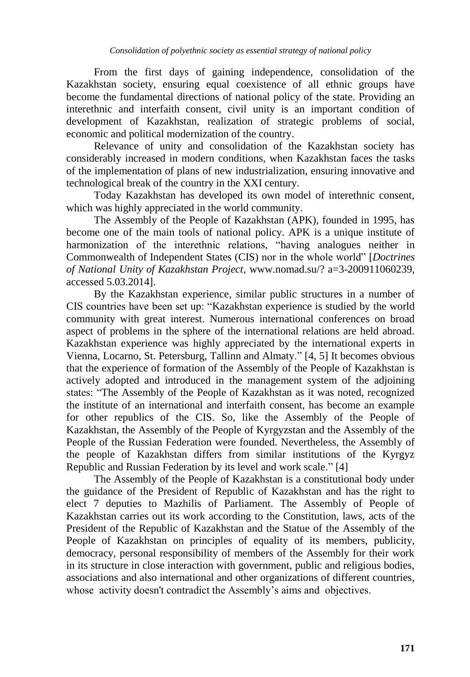From the first days of gaining independence, consolidation of the Kazakhstan society, ensuring equal coexistence of all ethnic groups have become the fundamental directions of national policy of the state. Providing an interethnic and interfaith consent, civil unity is an important condition of development of Kazakhstan, realization of strategic problems of social, economic and political modernization of the country.

Relevance of unity and consolidation of the Kazakhstan society has considerably increased in modern conditions, when Kazakhstan faces the tasks of the implementation of plans of new industrialization, ensuring innovative and technological break of the country in the XXI century.

Today Kazakhstan has developed its own model of interethnic consent, which was highly appreciated in the world community.

The Assembly of the People of Kazakhstan (APK), founded in 1995, has become one of the main tools of national policy. APK is a unique institute of harmonization of the interethnic relations, "having analogues neither in Commonwealth of Independent States (CIS) nor in the whole world" [*Doctrines of National Unity of Kazakhstan Project*, www.nomad.su/? a=3-200911060239, accessed 5.03.2014].

By the Kazakhstan experience, similar public structures in a number of CIS countries have been set up: "Kazakhstan experience is studied by the world community with great interest. Numerous international conferences on broad aspect of problems in the sphere of the international relations are held abroad. Kazakhstan experience was highly appreciated by the international experts in Vienna, Locarno, St. Petersburg, Tallinn and Almaty." [4, 5] It becomes obvious that the experience of formation of the Assembly of the People of Kazakhstan is actively adopted and introduced in the management system of the adjoining states: "The Assembly of the People of Kazakhstan as it was noted, recognized the institute of an international and interfaith consent, has become an example for other republics of the CIS. So, like the Assembly of the People of Kazakhstan, the Assembly of the People of Kyrgyzstan and the Assembly of the People of the Russian Federation were founded. Nevertheless, the Assembly of the people of Kazakhstan differs from similar institutions of the Kyrgyz Republic and Russian Federation by its level and work scale." [4]

The Assembly of the People of Kazakhstan is a constitutional body under the guidance of the President of Republic of Kazakhstan and has the right to elect 7 deputies to Mazhilis of Parliament. The Assembly of People of Kazakhstan carries out its work according to the Constitution, laws, acts of the President of the Republic of Kazakhstan and the Statue of the Assembly of the People of Kazakhstan on principles of equality of its members, publicity, democracy, personal responsibility of members of the Assembly for their work in its structure in close interaction with government, public and religious bodies, associations and also international and other organizations of different countries, whose activity doesn't contradict the Assembly's aims and objectives.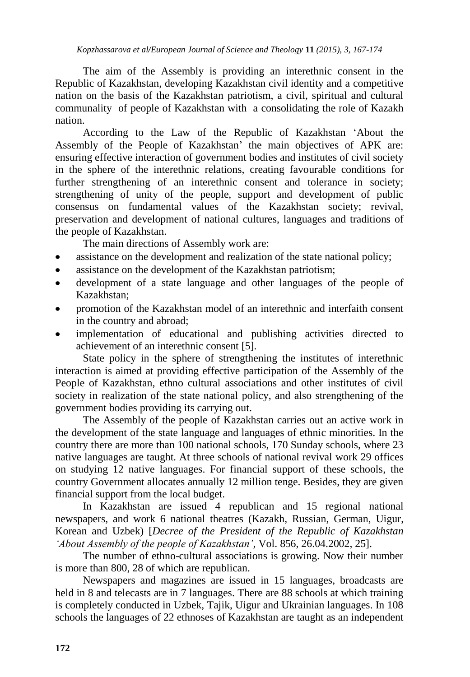The aim of the Assembly is providing an interethnic consent in the Republic of Kazakhstan, developing Kazakhstan civil identity and a competitive nation on the basis of the Kazakhstan patriotism, a civil, spiritual and cultural communality of people of Kazakhstan with a consolidating the role of Kazakh nation.

According to the Law of the Republic of Kazakhstan "About the Assembly of the People of Kazakhstan' the main objectives of APK are: ensuring effective interaction of government bodies and institutes of civil society in the sphere of the interethnic relations, creating favourable conditions for further strengthening of an interethnic consent and tolerance in society; strengthening of unity of the people, support and development of public consensus on fundamental values of the Kazakhstan society; revival, preservation and development of national cultures, languages and traditions of the people of Kazakhstan.

The main directions of Assembly work are:

- assistance on the development and realization of the state national policy;
- assistance on the development of the Kazakhstan patriotism;  $\bullet$
- development of a state language and other languages of the people of Kazakhstan;
- promotion of the Kazakhstan model of an interethnic and interfaith consent in the country and abroad;
- implementation of educational and publishing activities directed to achievement of an interethnic consent [5].

State policy in the sphere of strengthening the institutes of interethnic interaction is aimed at providing effective participation of the Assembly of the People of Kazakhstan, ethno cultural associations and other institutes of civil society in realization of the state national policy, and also strengthening of the government bodies providing its carrying out.

The Assembly of the people of Kazakhstan carries out an active work in the development of the state language and languages of ethnic minorities. In the country there are more than 100 national schools, 170 Sunday schools, where 23 native languages are taught. At three schools of national revival work 29 offices on studying 12 native languages. For financial support of these schools, the country Government allocates annually 12 million tenge. Besides, they are given financial support from the local budget.

In Kazakhstan are issued 4 republican and 15 regional national newspapers, and work 6 national theatres (Kazakh, Russian, German, Uigur, Korean and Uzbek) [*Decree of the President of the Republic of Kazakhstan 'About Assembly of the people of Kazakhstan'*, Vol. 856, 26.04.2002, 25].

The number of ethno-cultural associations is growing. Now their number is more than 800, 28 of which are republican.

Newspapers and magazines are issued in 15 languages, broadcasts are held in 8 and telecasts are in 7 languages. There are 88 schools at which training is completely conducted in Uzbek, Tajik, Uigur and Ukrainian languages. In 108 schools the languages of 22 ethnoses of Kazakhstan are taught as an independent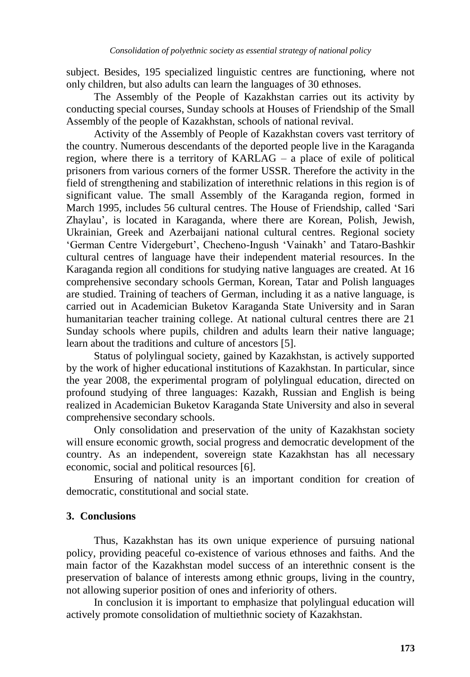subject. Besides, 195 specialized linguistic centres are functioning, where not only children, but also adults can learn the languages of 30 ethnoses.

The Assembly of the People of Kazakhstan carries out its activity by conducting special courses, Sunday schools at Houses of Friendship of the Small Assembly of the people of Kazakhstan, schools of national revival.

Activity of the Assembly of People of Kazakhstan covers vast territory of the country. Numerous descendants of the deported people live in the Karaganda region, where there is a territory of KARLAG – a place of exile of political prisoners from various corners of the former USSR. Therefore the activity in the field of strengthening and stabilization of interethnic relations in this region is of significant value. The small Assembly of the Karaganda region, formed in March 1995, includes 56 cultural centres. The House of Friendship, called "Sari Zhaylau", is located in Karaganda, where there are Korean, Polish, Jewish, Ukrainian, Greek and Azerbaijani national cultural centres. Regional society "German Centre Vidergeburt", Checheno-Ingush "Vainakh" and Tataro-Bashkir cultural centres of language have their independent material resources. In the Karaganda region all conditions for studying native languages are created. At 16 comprehensive secondary schools German, Korean, Tatar and Polish languages are studied. Training of teachers of German, including it as a native language, is carried out in Academician Buketov Karaganda State University and in Saran humanitarian teacher training college. At national cultural centres there are 21 Sunday schools where pupils, children and adults learn their native language; learn about the traditions and culture of ancestors [5].

Status of polylingual society, gained by Kazakhstan, is actively supported by the work of higher educational institutions of Kazakhstan. In particular, since the year 2008, the experimental program of polylingual education, directed on profound studying of three languages: Kazakh, Russian and English is being realized in Academician Buketov Karaganda State University and also in several comprehensive secondary schools.

Only consolidation and preservation of the unity of Kazakhstan society will ensure economic growth, social progress and democratic development of the country. As an independent, sovereign state Kazakhstan has all necessary economic, social and political resources [6].

Ensuring of national unity is an important condition for creation of democratic, constitutional and social state.

### **3. Conclusions**

Thus, Kazakhstan has its own unique experience of pursuing national policy, providing peaceful co-existence of various ethnoses and faiths. And the main factor of the Kazakhstan model success of an interethnic consent is the preservation of balance of interests among ethnic groups, living in the country, not allowing superior position of ones and inferiority of others.

In conclusion it is important to emphasize that polylingual education will actively promote consolidation of multiethnic society of Kazakhstan.